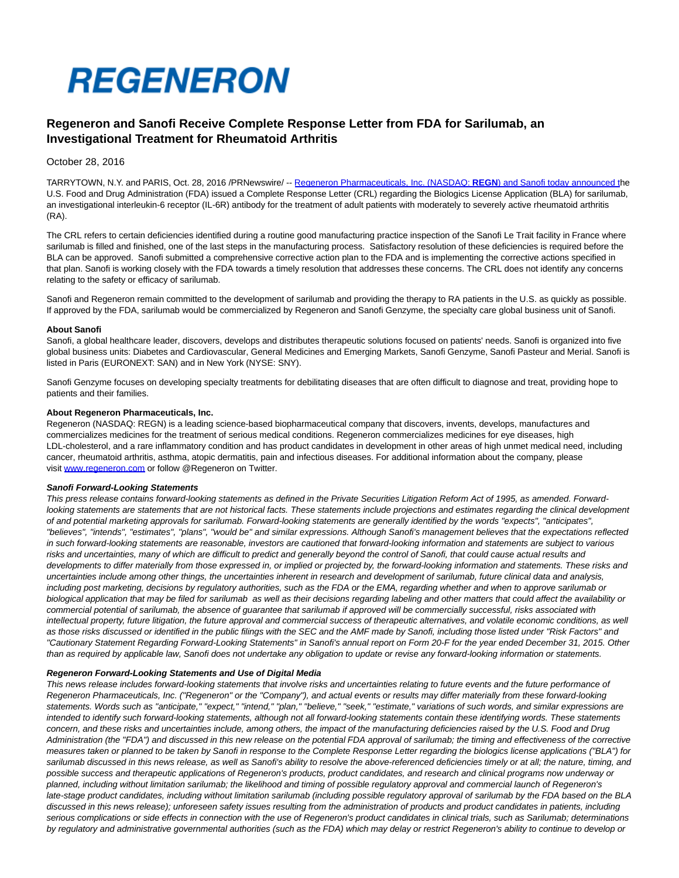

# **Regeneron and Sanofi Receive Complete Response Letter from FDA for Sarilumab, an Investigational Treatment for Rheumatoid Arthritis**

# October 28, 2016

TARRYTOWN, N.Y. and PARIS, Oct. 28, 2016 /PRNewswire/ -- [Regeneron Pharmaceuticals, Inc. \(NASDAQ:](http://en.sanofi.com/index.aspx) **REGN**) and Sanofi today announced the U.S. Food and Drug Administration (FDA) issued a Complete Response Letter (CRL) regarding the Biologics License Application (BLA) for sarilumab, an investigational interleukin-6 receptor (IL-6R) antibody for the treatment of adult patients with moderately to severely active rheumatoid arthritis (RA).

The CRL refers to certain deficiencies identified during a routine good manufacturing practice inspection of the Sanofi Le Trait facility in France where sarilumab is filled and finished, one of the last steps in the manufacturing process. Satisfactory resolution of these deficiencies is required before the BLA can be approved. Sanofi submitted a comprehensive corrective action plan to the FDA and is implementing the corrective actions specified in that plan. Sanofi is working closely with the FDA towards a timely resolution that addresses these concerns. The CRL does not identify any concerns relating to the safety or efficacy of sarilumab.

Sanofi and Regeneron remain committed to the development of sarilumab and providing the therapy to RA patients in the U.S. as quickly as possible. If approved by the FDA, sarilumab would be commercialized by Regeneron and Sanofi Genzyme, the specialty care global business unit of Sanofi.

#### **About Sanofi**

Sanofi, a global healthcare leader, discovers, develops and distributes therapeutic solutions focused on patients' needs. Sanofi is organized into five global business units: Diabetes and Cardiovascular, General Medicines and Emerging Markets, Sanofi Genzyme, Sanofi Pasteur and Merial. Sanofi is listed in Paris (EURONEXT: SAN) and in New York (NYSE: SNY).

Sanofi Genzyme focuses on developing specialty treatments for debilitating diseases that are often difficult to diagnose and treat, providing hope to patients and their families.

### **About Regeneron Pharmaceuticals, Inc.**

Regeneron (NASDAQ: REGN) is a leading science-based biopharmaceutical company that discovers, invents, develops, manufactures and commercializes medicines for the treatment of serious medical conditions. Regeneron commercializes medicines for eye diseases, high LDL-cholesterol, and a rare inflammatory condition and has product candidates in development in other areas of high unmet medical need, including cancer, rheumatoid arthritis, asthma, atopic dermatitis, pain and infectious diseases. For additional information about the company, please visit [www.regeneron.com o](http://www.regeneron.com/)r follow @Regeneron on Twitter.

#### **Sanofi Forward-Looking Statements**

This press release contains forward-looking statements as defined in the Private Securities Litigation Reform Act of 1995, as amended. Forwardlooking statements are statements that are not historical facts. These statements include projections and estimates regarding the clinical development of and potential marketing approvals for sarilumab. Forward-looking statements are generally identified by the words "expects", "anticipates", "believes", "intends", "estimates", "plans", "would be" and similar expressions. Although Sanofi's management believes that the expectations reflected in such forward-looking statements are reasonable, investors are cautioned that forward-looking information and statements are subject to various risks and uncertainties, many of which are difficult to predict and generally beyond the control of Sanofi, that could cause actual results and developments to differ materially from those expressed in, or implied or projected by, the forward-looking information and statements. These risks and uncertainties include among other things, the uncertainties inherent in research and development of sarilumab, future clinical data and analysis, including post marketing, decisions by regulatory authorities, such as the FDA or the EMA, regarding whether and when to approve sarilumab or biological application that may be filed for sarilumab as well as their decisions regarding labeling and other matters that could affect the availability or commercial potential of sarilumab, the absence of guarantee that sarilumab if approved will be commercially successful, risks associated with intellectual property, future litigation, the future approval and commercial success of therapeutic alternatives, and volatile economic conditions, as well as those risks discussed or identified in the public filings with the SEC and the AMF made by Sanofi, including those listed under "Risk Factors" and "Cautionary Statement Regarding Forward-Looking Statements" in Sanofi's annual report on Form 20-F for the year ended December 31, 2015. Other than as required by applicable law, Sanofi does not undertake any obligation to update or revise any forward-looking information or statements.

## **Regeneron Forward-Looking Statements and Use of Digital Media**

This news release includes forward-looking statements that involve risks and uncertainties relating to future events and the future performance of Regeneron Pharmaceuticals, Inc. ("Regeneron" or the "Company"), and actual events or results may differ materially from these forward-looking statements. Words such as "anticipate," "expect," "intend," "plan," "believe," "seek," "estimate," variations of such words, and similar expressions are intended to identify such forward-looking statements, although not all forward-looking statements contain these identifying words. These statements concern, and these risks and uncertainties include, among others, the impact of the manufacturing deficiencies raised by the U.S. Food and Drug Administration (the "FDA") and discussed in this new release on the potential FDA approval of sarilumab; the timing and effectiveness of the corrective measures taken or planned to be taken by Sanofi in response to the Complete Response Letter regarding the biologics license applications ("BLA") for sarilumab discussed in this news release, as well as Sanofi's ability to resolve the above-referenced deficiencies timely or at all; the nature, timing, and possible success and therapeutic applications of Regeneron's products, product candidates, and research and clinical programs now underway or planned, including without limitation sarilumab; the likelihood and timing of possible regulatory approval and commercial launch of Regeneron's late-stage product candidates, including without limitation sarilumab (including possible regulatory approval of sarilumab by the FDA based on the BLA discussed in this news release); unforeseen safety issues resulting from the administration of products and product candidates in patients, including serious complications or side effects in connection with the use of Regeneron's product candidates in clinical trials, such as Sarilumab; determinations by regulatory and administrative governmental authorities (such as the FDA) which may delay or restrict Regeneron's ability to continue to develop or